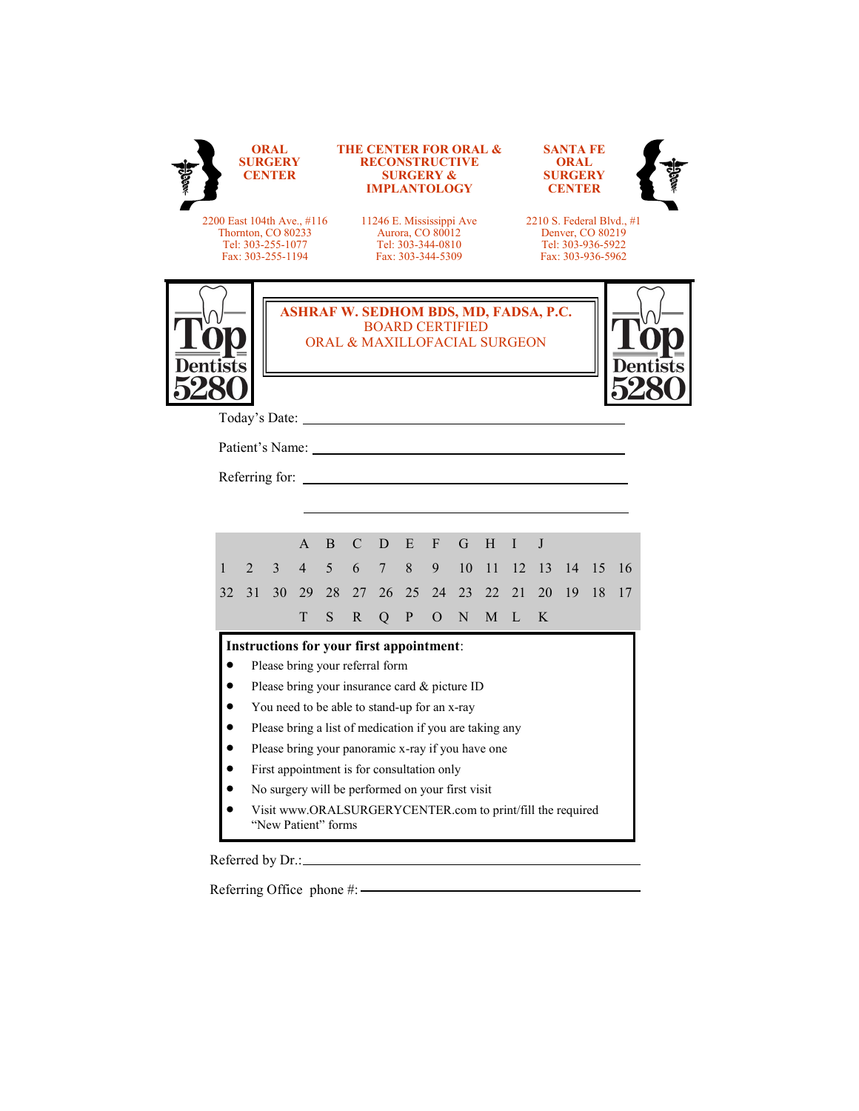|                                                                                            | ORAL<br><b>SURGERY</b><br>CENTER |    |                                 |                                                                                        | <b>THE CENTER FOR ORAL &amp;</b><br><b>RECONSTRUCTIVE</b><br><b>SURGERY &amp;</b><br><b>IMPLANTOLOGY</b> |                |              |                                                                                                                                                                                                                                |             |    |                                                                                         | <b>SANTA FE</b><br>ORAL<br><b>SURGERY</b><br><b>CENTER</b> |    |    |    |
|--------------------------------------------------------------------------------------------|----------------------------------|----|---------------------------------|----------------------------------------------------------------------------------------|----------------------------------------------------------------------------------------------------------|----------------|--------------|--------------------------------------------------------------------------------------------------------------------------------------------------------------------------------------------------------------------------------|-------------|----|-----------------------------------------------------------------------------------------|------------------------------------------------------------|----|----|----|
| 2200 East 104th Ave., #116<br>Thornton, CO 80233<br>Tel: 303-255-1077<br>Fax: 303-255-1194 |                                  |    |                                 | 11246 E. Mississippi Ave<br>Aurora, CO 80012<br>Tel: 303-344-0810<br>Fax: 303-344-5309 |                                                                                                          |                |              |                                                                                                                                                                                                                                |             |    | 2210 S. Federal Blvd., #1<br>Denver, CO 80219<br>Tel: 303-936-5922<br>Fax: 303-936-5962 |                                                            |    |    |    |
|                                                                                            |                                  |    |                                 |                                                                                        |                                                                                                          |                |              | <b>ASHRAF W. SEDHOM BDS, MD, FADSA, P.C.</b><br><b>BOARD CERTIFIED</b><br>ORAL & MAXILLOFACIAL SURGEON                                                                                                                         |             |    |                                                                                         |                                                            |    |    |    |
|                                                                                            |                                  |    |                                 |                                                                                        |                                                                                                          |                |              |                                                                                                                                                                                                                                |             |    |                                                                                         |                                                            |    |    |    |
|                                                                                            |                                  |    |                                 |                                                                                        |                                                                                                          |                |              | Patient's Name: Name: Name and Solid Report of the Solid Report of the Solid Report of the Solid Report of the Solid Report of the Solid Report of the Solid Report of the Solid Report of the Solid Report of the Solid Repor |             |    |                                                                                         |                                                            |    |    |    |
|                                                                                            |                                  |    |                                 |                                                                                        |                                                                                                          |                |              | Referring for:                                                                                                                                                                                                                 |             |    |                                                                                         |                                                            |    |    |    |
|                                                                                            |                                  |    |                                 |                                                                                        |                                                                                                          |                |              |                                                                                                                                                                                                                                |             |    |                                                                                         |                                                            |    |    |    |
|                                                                                            |                                  |    |                                 |                                                                                        |                                                                                                          |                |              |                                                                                                                                                                                                                                |             |    |                                                                                         |                                                            |    |    |    |
|                                                                                            |                                  |    | $\mathsf{A}$                    | <sub>B</sub>                                                                           | $\mathcal{C}$                                                                                            | D.             | E            | $F -$                                                                                                                                                                                                                          | G           | H  | $\mathbf I$                                                                             | J                                                          |    |    |    |
| $\mathbf{1}$                                                                               | $\mathfrak{D}$                   | 3  | $\overline{4}$                  | 5                                                                                      | 6                                                                                                        | $7^{\circ}$    | 8            | 9                                                                                                                                                                                                                              | 10          | 11 | 12                                                                                      | 13                                                         | 14 | 15 | 16 |
| 32                                                                                         | 31                               | 30 | 29                              |                                                                                        |                                                                                                          |                | 28 27 26 25  |                                                                                                                                                                                                                                | 24 23 22    |    | 2.1                                                                                     | 20                                                         | 19 | 18 | 17 |
|                                                                                            |                                  |    | T                               | S.                                                                                     | $\mathbb{R}$                                                                                             | $\overline{O}$ | $\, {\bf P}$ |                                                                                                                                                                                                                                | $O \quad N$ |    | $M$ $L$                                                                                 | K                                                          |    |    |    |
|                                                                                            |                                  |    |                                 |                                                                                        |                                                                                                          |                |              | Instructions for your first appointment:                                                                                                                                                                                       |             |    |                                                                                         |                                                            |    |    |    |
| $\bullet$                                                                                  |                                  |    | Please bring your referral form |                                                                                        |                                                                                                          |                |              |                                                                                                                                                                                                                                |             |    |                                                                                         |                                                            |    |    |    |
| $\bullet$                                                                                  |                                  |    |                                 |                                                                                        |                                                                                                          |                |              | Please bring your insurance card & picture ID                                                                                                                                                                                  |             |    |                                                                                         |                                                            |    |    |    |
|                                                                                            |                                  |    |                                 |                                                                                        |                                                                                                          |                |              | You need to be able to stand-up for an x-ray                                                                                                                                                                                   |             |    |                                                                                         |                                                            |    |    |    |
| $\bullet$                                                                                  |                                  |    |                                 |                                                                                        |                                                                                                          |                |              | Please bring a list of medication if you are taking any                                                                                                                                                                        |             |    |                                                                                         |                                                            |    |    |    |
|                                                                                            |                                  |    |                                 |                                                                                        |                                                                                                          |                |              | Please bring your panoramic x-ray if you have one                                                                                                                                                                              |             |    |                                                                                         |                                                            |    |    |    |
|                                                                                            |                                  |    |                                 |                                                                                        |                                                                                                          |                |              | First appointment is for consultation only                                                                                                                                                                                     |             |    |                                                                                         |                                                            |    |    |    |
|                                                                                            |                                  |    |                                 |                                                                                        |                                                                                                          |                |              | No surgery will be performed on your first visit<br>Visit www.ORALSURGERYCENTER.com to print/fill the required                                                                                                                 |             |    |                                                                                         |                                                            |    |    |    |

Referring Office phone #: